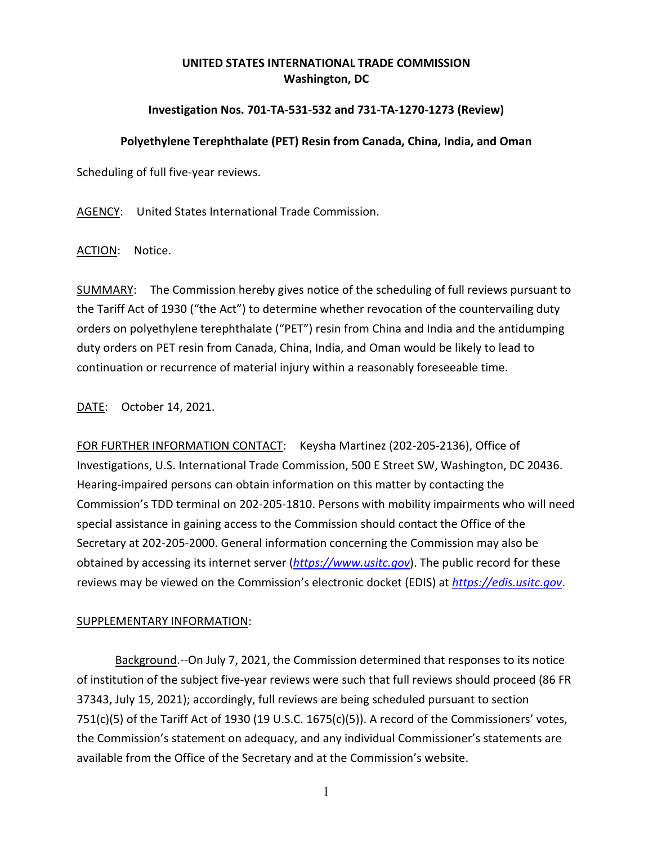## **UNITED STATES INTERNATIONAL TRADE COMMISSION Washington, DC**

## **Investigation Nos. 701-TA-531-532 and 731-TA-1270-1273 (Review)**

## **Polyethylene Terephthalate (PET) Resin from Canada, China, India, and Oman**

Scheduling of full five-year reviews.

AGENCY: United States International Trade Commission.

ACTION: Notice.

SUMMARY: The Commission hereby gives notice of the scheduling of full reviews pursuant to the Tariff Act of 1930 ("the Act") to determine whether revocation of the countervailing duty orders on polyethylene terephthalate ("PET") resin from China and India and the antidumping duty orders on PET resin from Canada, China, India, and Oman would be likely to lead to continuation or recurrence of material injury within a reasonably foreseeable time.

DATE: October 14, 2021.

FOR FURTHER INFORMATION CONTACT: Keysha Martinez (202-205-2136), Office of Investigations, U.S. International Trade Commission, 500 E Street SW, Washington, DC 20436. Hearing-impaired persons can obtain information on this matter by contacting the Commission's TDD terminal on 202-205-1810. Persons with mobility impairments who will need special assistance in gaining access to the Commission should contact the Office of the Secretary at 202-205-2000. General information concerning the Commission may also be obtained by accessing its internet server (*[https://www.usitc.gov](https://www.usitc.gov/)*). The public record for these reviews may be viewed on the Commission's electronic docket (EDIS) at *[https://edis.usitc.gov](https://edis.usitc.gov/)*.

## SUPPLEMENTARY INFORMATION:

Background.--On July 7, 2021, the Commission determined that responses to its notice of institution of the subject five-year reviews were such that full reviews should proceed (86 FR 37343, July 15, 2021); accordingly, full reviews are being scheduled pursuant to section 751(c)(5) of the Tariff Act of 1930 (19 U.S.C. 1675(c)(5)). A record of the Commissioners' votes, the Commission's statement on adequacy, and any individual Commissioner's statements are available from the Office of the Secretary and at the Commission's website.

1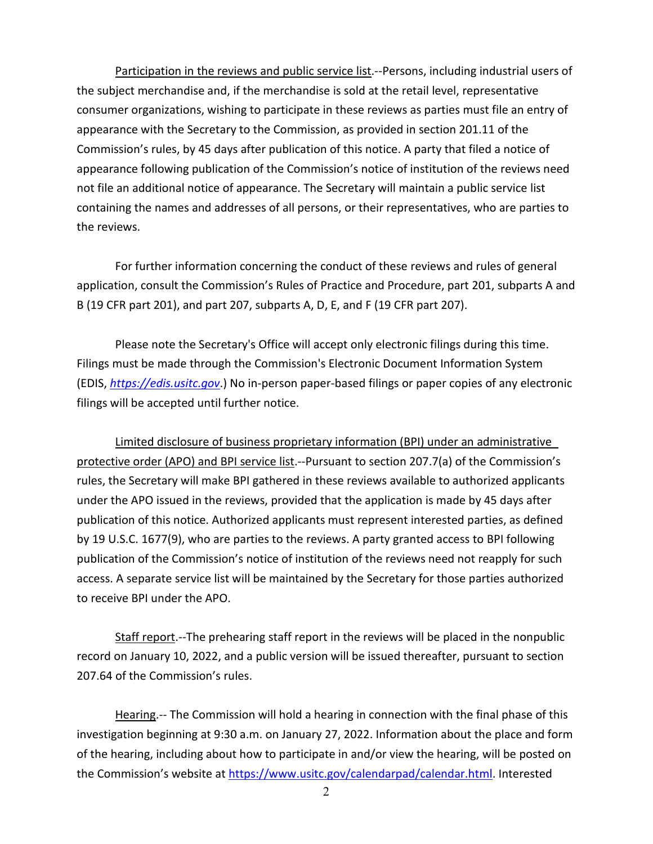Participation in the reviews and public service list.--Persons, including industrial users of the subject merchandise and, if the merchandise is sold at the retail level, representative consumer organizations, wishing to participate in these reviews as parties must file an entry of appearance with the Secretary to the Commission, as provided in section 201.11 of the Commission's rules, by 45 days after publication of this notice. A party that filed a notice of appearance following publication of the Commission's notice of institution of the reviews need not file an additional notice of appearance. The Secretary will maintain a public service list containing the names and addresses of all persons, or their representatives, who are parties to the reviews.

For further information concerning the conduct of these reviews and rules of general application, consult the Commission's Rules of Practice and Procedure, part 201, subparts A and B (19 CFR part 201), and part 207, subparts A, D, E, and F (19 CFR part 207).

Please note the Secretary's Office will accept only electronic filings during this time. Filings must be made through the Commission's Electronic Document Information System (EDIS, *[https://edis.usitc.gov](https://edis.usitc.gov/)*.) No in-person paper-based filings or paper copies of any electronic filings will be accepted until further notice.

Limited disclosure of business proprietary information (BPI) under an administrative protective order (APO) and BPI service list.--Pursuant to section 207.7(a) of the Commission's rules, the Secretary will make BPI gathered in these reviews available to authorized applicants under the APO issued in the reviews, provided that the application is made by 45 days after publication of this notice. Authorized applicants must represent interested parties, as defined by 19 U.S.C. 1677(9), who are parties to the reviews. A party granted access to BPI following publication of the Commission's notice of institution of the reviews need not reapply for such access. A separate service list will be maintained by the Secretary for those parties authorized to receive BPI under the APO.

Staff report.--The prehearing staff report in the reviews will be placed in the nonpublic record on January 10, 2022, and a public version will be issued thereafter, pursuant to section 207.64 of the Commission's rules.

Hearing.-- The Commission will hold a hearing in connection with the final phase of this investigation beginning at 9:30 a.m. on January 27, 2022. Information about the place and form of the hearing, including about how to participate in and/or view the hearing, will be posted on the Commission's website at [https://www.usitc.gov/calendarpad/calendar.html.](https://www.usitc.gov/calendarpad/calendar.html) Interested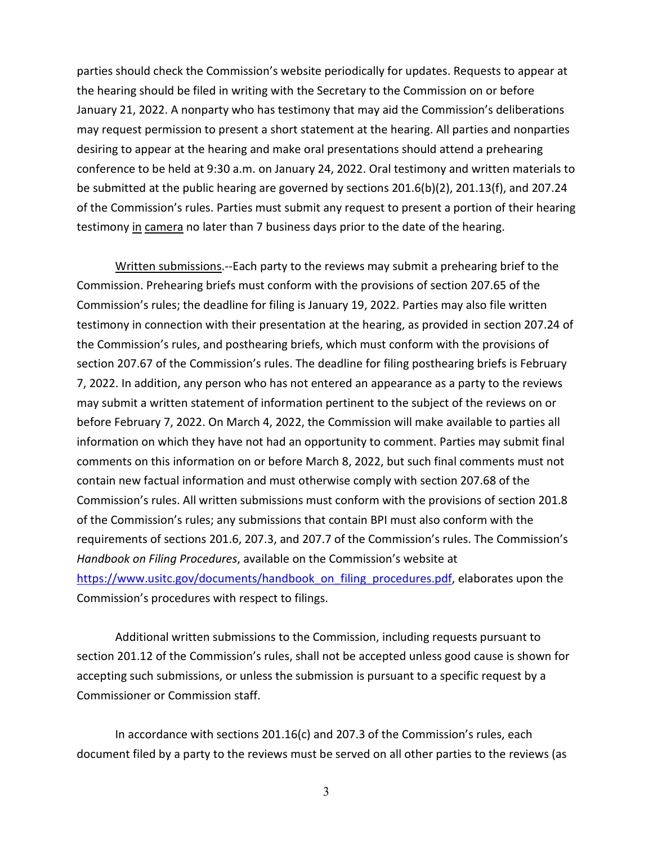parties should check the Commission's website periodically for updates. Requests to appear at the hearing should be filed in writing with the Secretary to the Commission on or before January 21, 2022. A nonparty who has testimony that may aid the Commission's deliberations may request permission to present a short statement at the hearing. All parties and nonparties desiring to appear at the hearing and make oral presentations should attend a prehearing conference to be held at 9:30 a.m. on January 24, 2022. Oral testimony and written materials to be submitted at the public hearing are governed by sections 201.6(b)(2), 201.13(f), and 207.24 of the Commission's rules. Parties must submit any request to present a portion of their hearing testimony in camera no later than 7 business days prior to the date of the hearing.

Written submissions.--Each party to the reviews may submit a prehearing brief to the Commission. Prehearing briefs must conform with the provisions of section 207.65 of the Commission's rules; the deadline for filing is January 19, 2022. Parties may also file written testimony in connection with their presentation at the hearing, as provided in section 207.24 of the Commission's rules, and posthearing briefs, which must conform with the provisions of section 207.67 of the Commission's rules. The deadline for filing posthearing briefs is February 7, 2022. In addition, any person who has not entered an appearance as a party to the reviews may submit a written statement of information pertinent to the subject of the reviews on or before February 7, 2022. On March 4, 2022, the Commission will make available to parties all information on which they have not had an opportunity to comment. Parties may submit final comments on this information on or before March 8, 2022, but such final comments must not contain new factual information and must otherwise comply with section 207.68 of the Commission's rules. All written submissions must conform with the provisions of section 201.8 of the Commission's rules; any submissions that contain BPI must also conform with the requirements of sections 201.6, 207.3, and 207.7 of the Commission's rules. The Commission's *Handbook on Filing Procedures*, available on the Commission's website at [https://www.usitc.gov/documents/handbook\\_on\\_filing\\_procedures.pdf,](https://www.usitc.gov/documents/handbook_on_filing_procedures.pdf) elaborates upon the Commission's procedures with respect to filings.

Additional written submissions to the Commission, including requests pursuant to section 201.12 of the Commission's rules, shall not be accepted unless good cause is shown for accepting such submissions, or unless the submission is pursuant to a specific request by a Commissioner or Commission staff.

In accordance with sections 201.16(c) and 207.3 of the Commission's rules, each document filed by a party to the reviews must be served on all other parties to the reviews (as

3